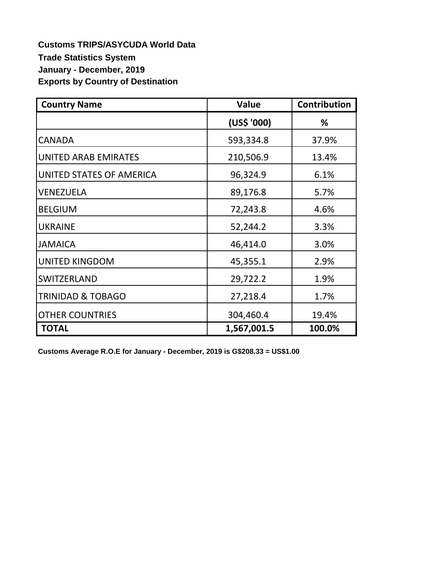**Customs TRIPS/ASYCUDA World Data Trade Statistics System January - December, 2019 Exports by Country of Destination**

| <b>Country Name</b>          | <b>Value</b> | <b>Contribution</b> |  |
|------------------------------|--------------|---------------------|--|
|                              | (US\$ '000)  | %                   |  |
| CANADA                       | 593,334.8    | 37.9%               |  |
| <b>UNITED ARAB EMIRATES</b>  | 210,506.9    | 13.4%               |  |
| UNITED STATES OF AMERICA     | 96,324.9     | 6.1%                |  |
| VENEZUELA                    | 89,176.8     | 5.7%                |  |
| <b>BELGIUM</b>               | 72,243.8     | 4.6%                |  |
| <b>UKRAINE</b>               | 52,244.2     | 3.3%                |  |
| <b>JAMAICA</b>               | 46,414.0     | 3.0%                |  |
| <b>UNITED KINGDOM</b>        | 45,355.1     | 2.9%                |  |
| SWITZERLAND                  | 29,722.2     | 1.9%                |  |
| <b>TRINIDAD &amp; TOBAGO</b> | 27,218.4     | 1.7%                |  |
| <b>OTHER COUNTRIES</b>       | 304,460.4    | 19.4%               |  |
| <b>TOTAL</b>                 | 1,567,001.5  | 100.0%              |  |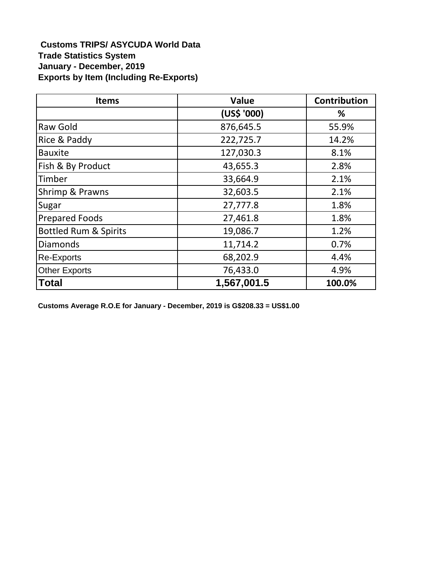## **Customs TRIPS/ ASYCUDA World Data Trade Statistics System January - December, 2019 Exports by Item (Including Re-Exports)**

| <b>Items</b>                     | Value       | Contribution |
|----------------------------------|-------------|--------------|
|                                  | (US\$ '000) | ℅            |
| Raw Gold                         | 876,645.5   | 55.9%        |
| Rice & Paddy                     | 222,725.7   | 14.2%        |
| <b>Bauxite</b>                   | 127,030.3   | 8.1%         |
| Fish & By Product                | 43,655.3    | 2.8%         |
| Timber                           | 33,664.9    | 2.1%         |
| Shrimp & Prawns                  | 32,603.5    | 2.1%         |
| Sugar                            | 27,777.8    | 1.8%         |
| <b>Prepared Foods</b>            | 27,461.8    | 1.8%         |
| <b>Bottled Rum &amp; Spirits</b> | 19,086.7    | 1.2%         |
| <b>Diamonds</b>                  | 11,714.2    | 0.7%         |
| <b>Re-Exports</b>                | 68,202.9    | 4.4%         |
| <b>Other Exports</b>             | 76,433.0    | 4.9%         |
| <b>Total</b>                     | 1,567,001.5 | 100.0%       |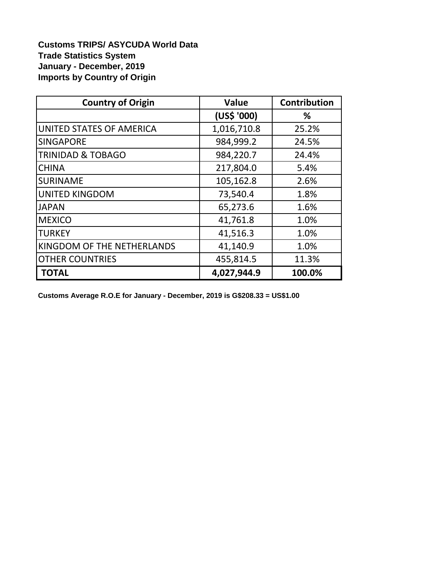**Customs TRIPS/ ASYCUDA World Data Trade Statistics System January - December, 2019 Imports by Country of Origin** 

| <b>Country of Origin</b>     | <b>Value</b> | <b>Contribution</b> |  |
|------------------------------|--------------|---------------------|--|
|                              | (US\$ '000)  | %                   |  |
| UNITED STATES OF AMERICA     | 1,016,710.8  | 25.2%               |  |
| <b>SINGAPORE</b>             | 984,999.2    | 24.5%               |  |
| <b>TRINIDAD &amp; TOBAGO</b> | 984,220.7    | 24.4%               |  |
| <b>CHINA</b>                 | 217,804.0    | 5.4%                |  |
| <b>SURINAME</b>              | 105,162.8    | 2.6%                |  |
| <b>UNITED KINGDOM</b>        | 73,540.4     | 1.8%                |  |
| <b>JAPAN</b>                 | 65,273.6     | 1.6%                |  |
| <b>MEXICO</b>                | 41,761.8     | 1.0%                |  |
| <b>TURKEY</b>                | 41,516.3     | 1.0%                |  |
| KINGDOM OF THE NETHERLANDS   | 41,140.9     | 1.0%                |  |
| <b>OTHER COUNTRIES</b>       | 455,814.5    | 11.3%               |  |
| <b>TOTAL</b>                 | 4,027,944.9  | 100.0%              |  |